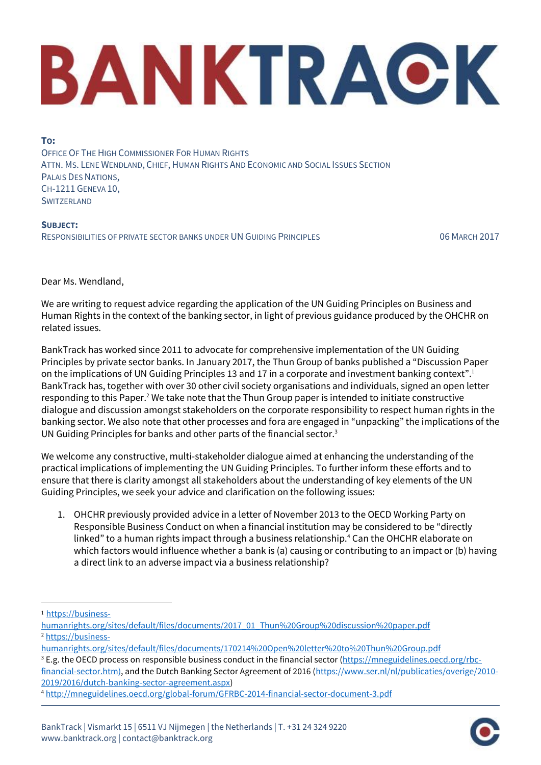## BANKTRACK

**TO:** OFFICE OF THE HIGH COMMISSIONER FOR HUMAN RIGHTS ATTN. MS. LENE WENDLAND, CHIEF, HUMAN RIGHTS AND ECONOMIC AND SOCIAL ISSUES SECTION PALAIS DES NATIONS, CH-1211 GENEVA 10, **SWITZERLAND** 

**SUBJECT:** RESPONSIBILITIES OF PRIVATE SECTOR BANKS UNDER UN GUIDING PRINCIPLES 06 MARCH 2017

Dear Ms. Wendland,

We are writing to request advice regarding the application of the UN Guiding Principles on Business and Human Rights in the context of the banking sector, in light of previous guidance produced by the OHCHR on related issues.

BankTrack has worked since 2011 to advocate for comprehensive implementation of the UN Guiding Principles by private sector banks. In January 2017, the Thun Group of banks published a "Discussion Paper on the implications of UN Guiding Principles 13 and 17 in a corporate and investment banking context".<sup>1</sup> BankTrack has, together with over 30 other civil society organisations and individuals, signed an open letter responding to this Paper.<sup>2</sup> We take note that the Thun Group paper is intended to initiate constructive dialogue and discussion amongst stakeholders on the corporate responsibility to respect human rights in the banking sector. We also note that other processes and fora are engaged in "unpacking" the implications of the UN Guiding Principles for banks and other parts of the financial sector.<sup>3</sup>

We welcome any constructive, multi-stakeholder dialogue aimed at enhancing the understanding of the practical implications of implementing the UN Guiding Principles. To further inform these efforts and to ensure that there is clarity amongst all stakeholders about the understanding of key elements of the UN Guiding Principles, we seek your advice and clarification on the following issues:

1. OHCHR previously provided advice in a letter of November 2013 to the OECD Working Party on Responsible Business Conduct on when a financial institution may be considered to be "directly linked" to a human rights impact through a business relationship.<sup>4</sup> Can the OHCHR elaborate on which factors would influence whether a bank is (a) causing or contributing to an impact or (b) having a direct link to an adverse impact via a business relationship?

<sup>1</sup> [https://business-](https://business-humanrights.org/sites/default/files/documents/2017_01_Thun%20Group%20discussion%20paper.pdf)

 $\overline{a}$ 

<sup>3</sup> E.g. the OECD process on responsible business conduct in the financial sector [\(https://mneguidelines.oecd.org/rbc-](https://mneguidelines.oecd.org/rbc-financial-sector.htm))

[financial-sector.htm\),](https://mneguidelines.oecd.org/rbc-financial-sector.htm)) and the Dutch Banking Sector Agreement of 2016 [\(https://www.ser.nl/nl/publicaties/overige/2010-](https://www.ser.nl/nl/publicaties/overige/2010-2019/2016/dutch-banking-sector-agreement.aspx) [2019/2016/dutch-banking-sector-agreement.aspx\)](https://www.ser.nl/nl/publicaties/overige/2010-2019/2016/dutch-banking-sector-agreement.aspx)



[humanrights.org/sites/default/files/documents/2017\\_01\\_Thun%20Group%20discussion%20paper.pdf](https://business-humanrights.org/sites/default/files/documents/2017_01_Thun%20Group%20discussion%20paper.pdf) <sup>2</sup> [https://business-](https://business-humanrights.org/sites/default/files/documents/170214%20Open%20letter%20to%20Thun%20Group.pdf)

[humanrights.org/sites/default/files/documents/170214%20Open%20letter%20to%20Thun%20Group.pdf](https://business-humanrights.org/sites/default/files/documents/170214%20Open%20letter%20to%20Thun%20Group.pdf)

<sup>4</sup> <http://mneguidelines.oecd.org/global-forum/GFRBC-2014-financial-sector-document-3.pdf>